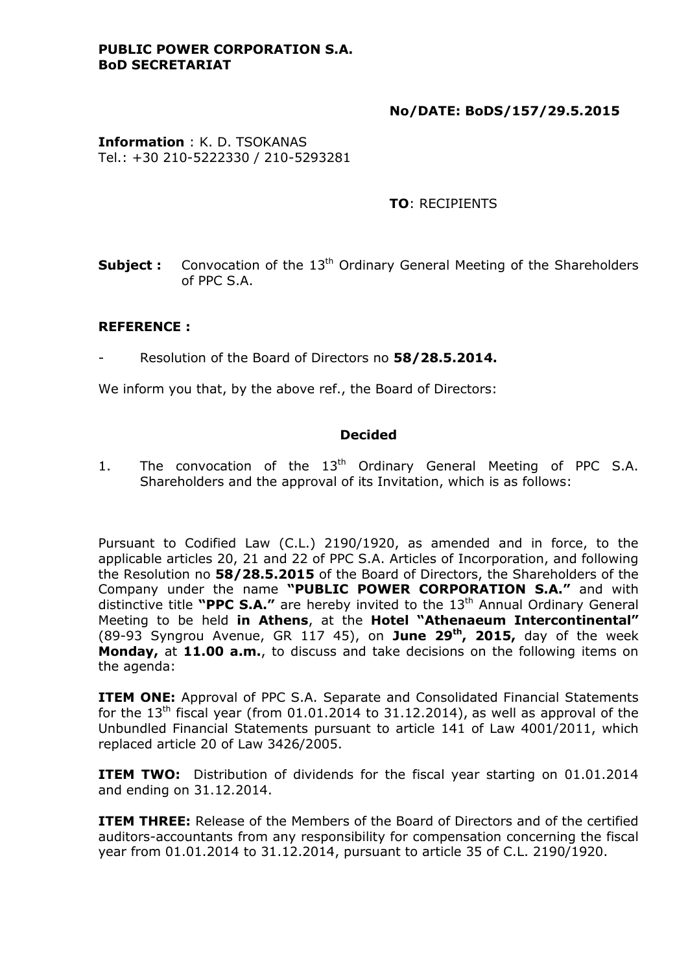### **PUBLIC POWER CORPORATION S.A. BoD SECRETARIAT**

# **No/DATE: BoDS/157/29.5.2015**

**Information** : K. D. TSOKANAS Tel.: +30 210-5222330 / 210-5293281

## **TO**: RECIPIENTS

**Subject :** Convocation of the 13<sup>th</sup> Ordinary General Meeting of the Shareholders of PPC S.A.

### **REFERENCE :**

- Resolution of the Board of Directors no **58/28.5.2014.** 

We inform you that, by the above ref., the Board of Directors:

### **Decided**

1. The convocation of the  $13<sup>th</sup>$  Ordinary General Meeting of PPC S.A. Shareholders and the approval of its Invitation, which is as follows:

Pursuant to Codified Law (C.L.) 2190/1920, as amended and in force, to the applicable articles 20, 21 and 22 of PPC S.A. Articles of Incorporation, and following the Resolution no **58/28.5.2015** of the Board of Directors, the Shareholders of the Company under the name **"PUBLIC POWER CORPORATION S.A."** and with distinctive title "PPC S.A." are hereby invited to the 13<sup>th</sup> Annual Ordinary General Meeting to be held **in Athens**, at the **Hotel "Athenaeum Intercontinental"**  (89-93 Syngrou Avenue, GR 117 45), on **June 29th , 2015,** day of the week **Monday,** at **11.00 a.m.**, to discuss and take decisions on the following items on the agenda:

**ITEM ONE:** Approval of PPC S.A. Separate and Consolidated Financial Statements for the  $13<sup>th</sup>$  fiscal year (from 01.01.2014 to 31.12.2014), as well as approval of the Unbundled Financial Statements pursuant to article 141 of Law 4001/2011, which replaced article 20 of Law 3426/2005.

**ITEM TWO:** Distribution of dividends for the fiscal year starting on 01.01.2014 and ending on 31.12.2014.

**ITEM THREE:** Release of the Members of the Board of Directors and of the certified auditors-accountants from any responsibility for compensation concerning the fiscal year from 01.01.2014 to 31.12.2014, pursuant to article 35 of C.L. 2190/1920.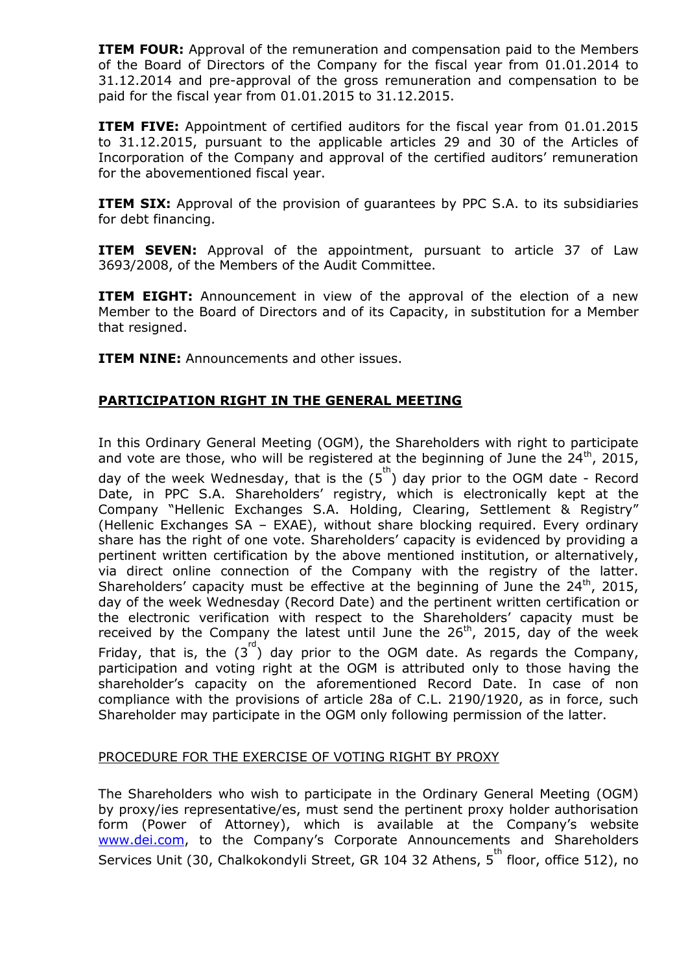**ITEM FOUR:** Approval of the remuneration and compensation paid to the Members of the Board of Directors of the Company for the fiscal year from 01.01.2014 to 31.12.2014 and pre-approval of the gross remuneration and compensation to be paid for the fiscal year from 01.01.2015 to 31.12.2015.

**ITEM FIVE:** Appointment of certified auditors for the fiscal year from 01.01.2015 to 31.12.2015, pursuant to the applicable articles 29 and 30 of the Articles of Incorporation of the Company and approval of the certified auditors' remuneration for the abovementioned fiscal year.

**ITEM SIX:** Approval of the provision of quarantees by PPC S.A. to its subsidiaries for debt financing.

**ITEM SEVEN:** Approval of the appointment, pursuant to article 37 of Law 3693/2008, of the Members of the Audit Committee.

**ITEM EIGHT:** Announcement in view of the approval of the election of a new Member to the Board of Directors and of its Capacity, in substitution for a Member that resigned.

**ITEM NINE:** Announcements and other issues.

# **PARTICIPATION RIGHT IN THE GENERAL MEETING**

In this Ordinary General Meeting (OGM), the Shareholders with right to participate and vote are those, who will be registered at the beginning of June the  $24<sup>th</sup>$ , 2015, day of the week Wednesday, that is the  $(5^{th})$  day prior to the OGM date - Record Date, in PPC S.A. Shareholders' registry, which is electronically kept at the Company "Hellenic Exchanges S.A. Holding, Clearing, Settlement & Registry" (Hellenic Exchanges SA – EXAE), without share blocking required. Every ordinary share has the right of one vote. Shareholders' capacity is evidenced by providing a pertinent written certification by the above mentioned institution, or alternatively, via direct online connection of the Company with the registry of the latter. Shareholders' capacity must be effective at the beginning of June the  $24<sup>th</sup>$ , 2015, day of the week Wednesday (Record Date) and the pertinent written certification or the electronic verification with respect to the Shareholders' capacity must be received by the Company the latest until June the  $26<sup>th</sup>$ , 2015, day of the week Friday, that is, the  $(3^{rd})$  day prior to the OGM date. As regards the Company, participation and voting right at the OGM is attributed only to those having the shareholder's capacity on the aforementioned Record Date. In case of non compliance with the provisions of article 28a of C.L. 2190/1920, as in force, such Shareholder may participate in the OGM only following permission of the latter.

# PROCEDURE FOR THE EXERCISE OF VOTING RIGHT BY PROXY

The Shareholders who wish to participate in the Ordinary General Meeting (OGM) by proxy/ies representative/es, must send the pertinent proxy holder authorisation form (Power of Attorney), which is available at the Company's website [www.dei.com](http://www.dei.com/), to the Company's Corporate Announcements and Shareholders Services Unit (30, Chalkokondyli Street, GR 104 32 Athens, 5<sup>th</sup> floor, office 512), no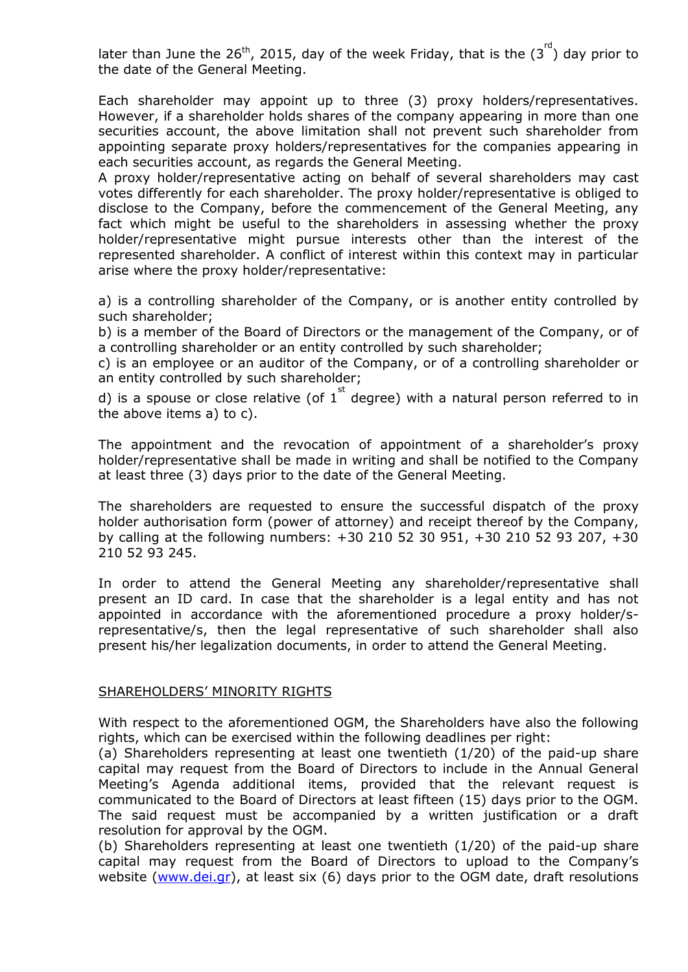later than June the 26<sup>th</sup>, 2015, day of the week Friday, that is the  $(3^{\text{rd}})$  day prior to the date of the General Meeting.

Each shareholder may appoint up to three (3) proxy holders/representatives. However, if a shareholder holds shares of the company appearing in more than one securities account, the above limitation shall not prevent such shareholder from appointing separate proxy holders/representatives for the companies appearing in each securities account, as regards the General Meeting.

A proxy holder/representative acting on behalf of several shareholders may cast votes differently for each shareholder. The proxy holder/representative is obliged to disclose to the Company, before the commencement of the General Meeting, any fact which might be useful to the shareholders in assessing whether the proxy holder/representative might pursue interests other than the interest of the represented shareholder. A conflict of interest within this context may in particular arise where the proxy holder/representative:

a) is a controlling shareholder of the Company, or is another entity controlled by such shareholder;

b) is a member of the Board of Directors or the management of the Company, or of a controlling shareholder or an entity controlled by such shareholder;

c) is an employee or an auditor of the Company, or of a controlling shareholder or an entity controlled by such shareholder;

d) is a spouse or close relative (of  $1^{st}$  degree) with a natural person referred to in the above items a) to c).

The appointment and the revocation of appointment of a shareholder's proxy holder/representative shall be made in writing and shall be notified to the Company at least three (3) days prior to the date of the General Meeting.

The shareholders are requested to ensure the successful dispatch of the proxy holder authorisation form (power of attorney) and receipt thereof by the Company, by calling at the following numbers: +30 210 52 30 951, +30 210 52 93 207, +30 210 52 93 245.

In order to attend the General Meeting any shareholder/representative shall present an ID card. In case that the shareholder is a legal entity and has not appointed in accordance with the aforementioned procedure a proxy holder/srepresentative/s, then the legal representative of such shareholder shall also present his/her legalization documents, in order to attend the General Meeting.

### SHAREHOLDERS' MINORITY RIGHTS

With respect to the aforementioned OGM, the Shareholders have also the following rights, which can be exercised within the following deadlines per right:

(a) Shareholders representing at least one twentieth (1/20) of the paid-up share capital may request from the Board of Directors to include in the Annual General Meeting's Agenda additional items, provided that the relevant request is communicated to the Board of Directors at least fifteen (15) days prior to the OGM. The said request must be accompanied by a written justification or a draft resolution for approval by the OGM.

(b) Shareholders representing at least one twentieth (1/20) of the paid-up share capital may request from the Board of Directors to upload to the Company's website [\(www.dei.gr\)](http://www.dei.gr/), at least six (6) days prior to the OGM date, draft resolutions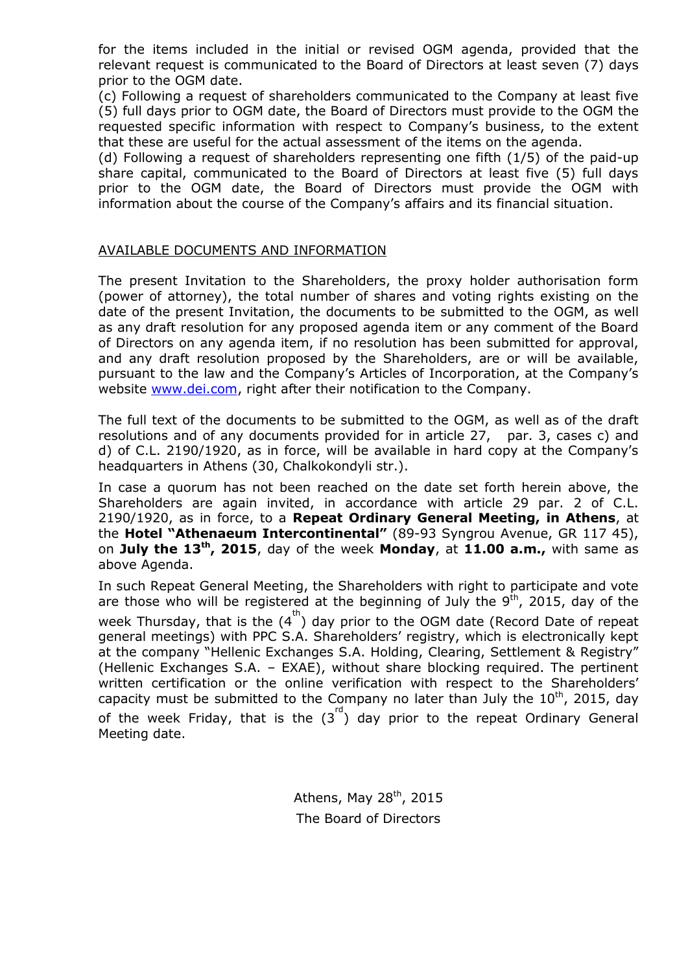for the items included in the initial or revised OGM agenda, provided that the relevant request is communicated to the Board of Directors at least seven (7) days prior to the OGM date.

(c) Following a request of shareholders communicated to the Company at least five (5) full days prior to OGM date, the Board of Directors must provide to the OGM the requested specific information with respect to Company's business, to the extent that these are useful for the actual assessment of the items on the agenda.

(d) Following a request of shareholders representing one fifth (1/5) of the paid-up share capital, communicated to the Board of Directors at least five (5) full days prior to the OGM date, the Board of Directors must provide the OGM with information about the course of the Company's affairs and its financial situation.

### AVAILABLE DOCUMENTS AND INFORMATION

The present Invitation to the Shareholders, the proxy holder authorisation form (power of attorney), the total number of shares and voting rights existing on the date of the present Invitation, the documents to be submitted to the OGM, as well as any draft resolution for any proposed agenda item or any comment of the Board of Directors on any agenda item, if no resolution has been submitted for approval, and any draft resolution proposed by the Shareholders, are or will be available, pursuant to the law and the Company's Articles of Incorporation, at the Company's website [www.dei.com,](http://www.dei.com/) right after their notification to the Company.

The full text of the documents to be submitted to the OGM, as well as of the draft resolutions and of any documents provided for in article 27, par. 3, cases c) and d) of C.L. 2190/1920, as in force, will be available in hard copy at the Company's headquarters in Athens (30, Chalkokondyli str.).

In case a quorum has not been reached on the date set forth herein above, the Shareholders are again invited, in accordance with article 29 par. 2 of C.L. 2190/1920, as in force, to a **Repeat Ordinary General Meeting, in Athens**, at the **Hotel "Athenaeum Intercontinental"** (89-93 Syngrou Avenue, GR 117 45), on **July the 13th, 2015**, day of the week **Monday**, at **11.00 a.m.,** with same as above Agenda.

In such Repeat General Meeting, the Shareholders with right to participate and vote are those who will be registered at the beginning of July the  $9<sup>th</sup>$ , 2015, day of the week Thursday, that is the  $(4^{th})$  day prior to the OGM date (Record Date of repeat general meetings) with PPC S.A. Shareholders' registry, which is electronically kept at the company "Hellenic Exchanges S.A. Holding, Clearing, Settlement & Registry" (Hellenic Exchanges S.A. – EXAE), without share blocking required. The pertinent written certification or the online verification with respect to the Shareholders' capacity must be submitted to the Company no later than July the  $10<sup>th</sup>$ , 2015, day of the week Friday, that is the  $(3^{rd})$  day prior to the repeat Ordinary General Meeting date.

> Athens, May  $28<sup>th</sup>$ , 2015 The Board of Directors